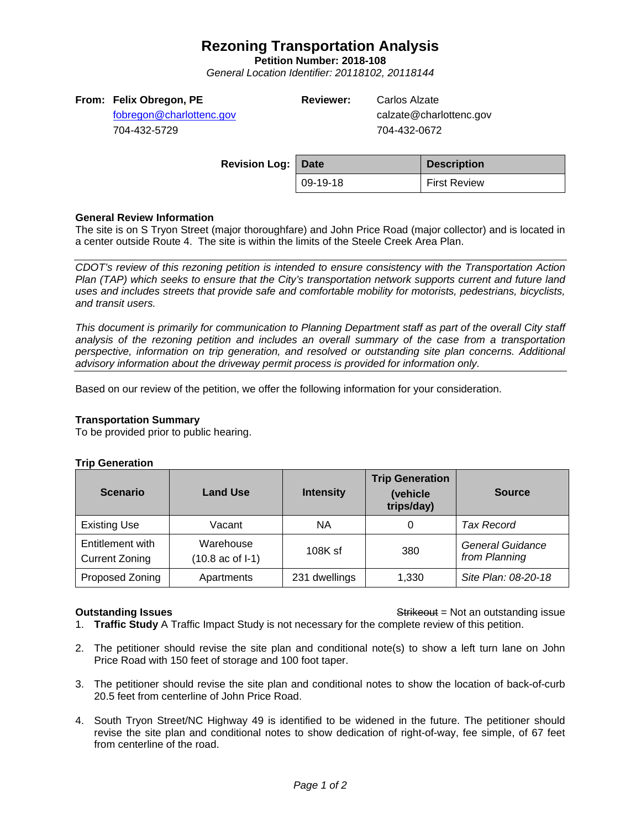# **Rezoning Transportation Analysis**

**Petition Number: 2018-108**

*General Location Identifier: 20118102, 20118144*

|  |  | From: Felix Obregon, PE |  |
|--|--|-------------------------|--|
|--|--|-------------------------|--|

[fobregon@charlottenc.gov](mailto:fobregon@charlottenc.gov) 704-432-5729

**Reviewer:** Carlos Alzate

calzate@charlottenc.gov 704-432-0672

| <b>Revision Log: Date</b> |          | <b>Description</b>  |
|---------------------------|----------|---------------------|
|                           | 09-19-18 | <b>First Review</b> |

# **General Review Information**

The site is on S Tryon Street (major thoroughfare) and John Price Road (major collector) and is located in a center outside Route 4. The site is within the limits of the Steele Creek Area Plan.

*CDOT's review of this rezoning petition is intended to ensure consistency with the Transportation Action Plan (TAP) which seeks to ensure that the City's transportation network supports current and future land uses and includes streets that provide safe and comfortable mobility for motorists, pedestrians, bicyclists, and transit users.*

*This document is primarily for communication to Planning Department staff as part of the overall City staff analysis of the rezoning petition and includes an overall summary of the case from a transportation perspective, information on trip generation, and resolved or outstanding site plan concerns. Additional advisory information about the driveway permit process is provided for information only.*

Based on our review of the petition, we offer the following information for your consideration.

### **Transportation Summary**

To be provided prior to public hearing.

#### **Trip Generation**

| <b>Scenario</b>                    | <b>Land Use</b>                         | <b>Intensity</b> | <b>Trip Generation</b><br>(vehicle<br>trips/day) | <b>Source</b>                            |
|------------------------------------|-----------------------------------------|------------------|--------------------------------------------------|------------------------------------------|
| <b>Existing Use</b>                | Vacant                                  | <b>NA</b>        |                                                  | <b>Tax Record</b>                        |
| Entitlement with<br>Current Zoning | Warehouse<br>$(10.8 \text{ ac of } -1)$ | $108K$ sf        | 380                                              | <b>General Guidance</b><br>from Planning |
| Proposed Zoning                    | Apartments                              | 231 dwellings    | 1,330                                            | Site Plan: 08-20-18                      |

**Outstanding Issues Container and Strikeout = Not an outstanding issue Strikeout = Not an outstanding issue** 1. **Traffic Study** A Traffic Impact Study is not necessary for the complete review of this petition.

- 2. The petitioner should revise the site plan and conditional note(s) to show a left turn lane on John Price Road with 150 feet of storage and 100 foot taper.
- 3. The petitioner should revise the site plan and conditional notes to show the location of back-of-curb 20.5 feet from centerline of John Price Road.
- 4. South Tryon Street/NC Highway 49 is identified to be widened in the future. The petitioner should revise the site plan and conditional notes to show dedication of right-of-way, fee simple, of 67 feet from centerline of the road.